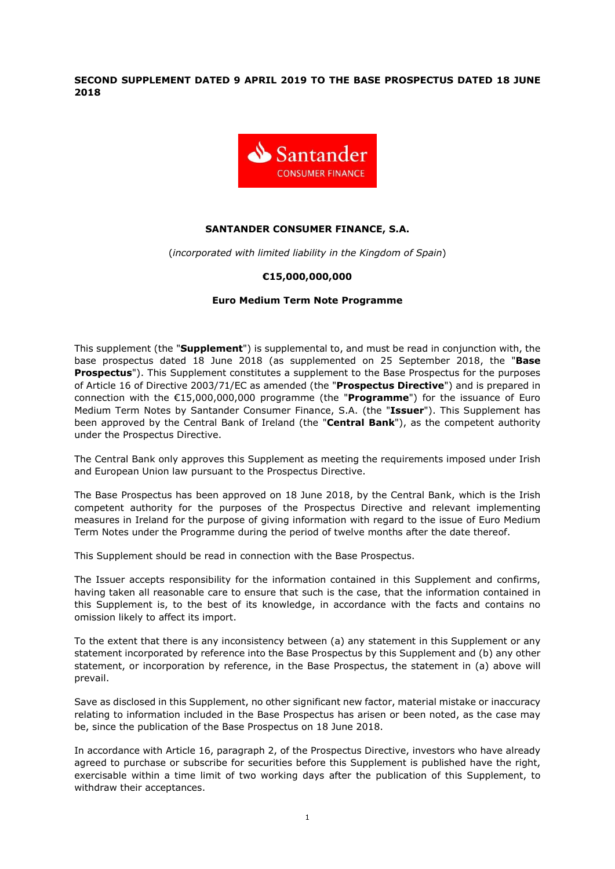SECOND SUPPLEMENT DATED 9 APRIL 2019 TO THE BASE PROSPECTUS DATED 18 JUNE 2018



## SANTANDER CONSUMER FINANCE, S.A.

(incorporated with limited liability in the Kingdom of Spain)

## €15,000,000,000

#### Euro Medium Term Note Programme

This supplement (the "Supplement") is supplemental to, and must be read in conjunction with, the base prospectus dated 18 June 2018 (as supplemented on 25 September 2018, the "Base **Prospectus").** This Supplement constitutes a supplement to the Base Prospectus for the purposes of Article 16 of Directive 2003/71/EC as amended (the "Prospectus Directive") and is prepared in connection with the  $E15,000,000,000$  programme (the "Programme") for the issuance of Euro Medium Term Notes by Santander Consumer Finance, S.A. (the "Issuer"). This Supplement has been approved by the Central Bank of Ireland (the "Central Bank"), as the competent authority under the Prospectus Directive.

The Central Bank only approves this Supplement as meeting the requirements imposed under Irish and European Union law pursuant to the Prospectus Directive.

The Base Prospectus has been approved on 18 June 2018, by the Central Bank, which is the Irish competent authority for the purposes of the Prospectus Directive and relevant implementing measures in Ireland for the purpose of giving information with regard to the issue of Euro Medium Term Notes under the Programme during the period of twelve months after the date thereof.

This Supplement should be read in connection with the Base Prospectus.

The Issuer accepts responsibility for the information contained in this Supplement and confirms, having taken all reasonable care to ensure that such is the case, that the information contained in this Supplement is, to the best of its knowledge, in accordance with the facts and contains no omission likely to affect its import.

To the extent that there is any inconsistency between (a) any statement in this Supplement or any statement incorporated by reference into the Base Prospectus by this Supplement and (b) any other statement, or incorporation by reference, in the Base Prospectus, the statement in (a) above will prevail.

Save as disclosed in this Supplement, no other significant new factor, material mistake or inaccuracy relating to information included in the Base Prospectus has arisen or been noted, as the case may be, since the publication of the Base Prospectus on 18 June 2018.

In accordance with Article 16, paragraph 2, of the Prospectus Directive, investors who have already agreed to purchase or subscribe for securities before this Supplement is published have the right, exercisable within a time limit of two working days after the publication of this Supplement, to withdraw their acceptances.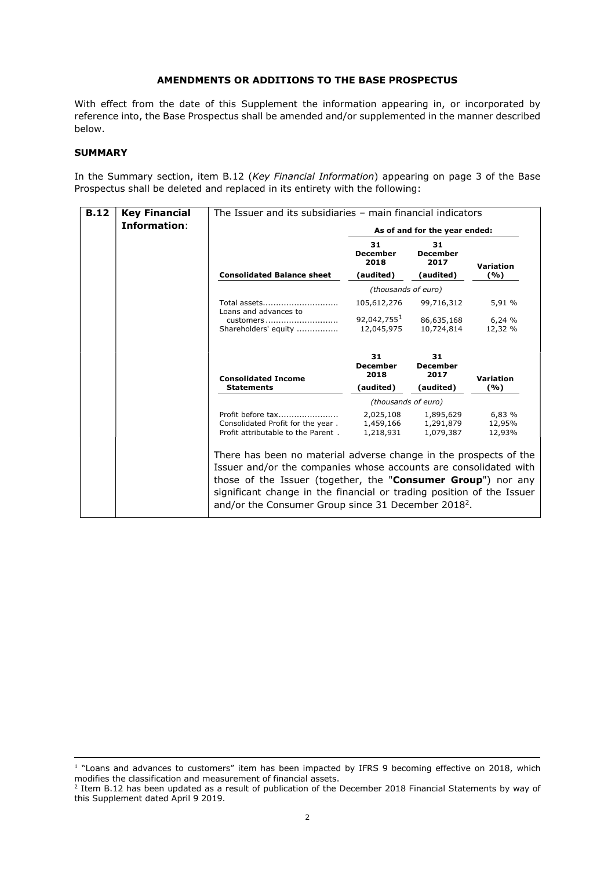# AMENDMENTS OR ADDITIONS TO THE BASE PROSPECTUS

With effect from the date of this Supplement the information appearing in, or incorporated by reference into, the Base Prospectus shall be amended and/or supplemented in the manner described below.

# **SUMMARY**

÷,

In the Summary section, item B.12 (Key Financial Information) appearing on page 3 of the Base Prospectus shall be deleted and replaced in its entirety with the following:

| <b>B.12</b> | <b>Key Financial</b> | The Issuer and its subsidiaries $-$ main financial indicators                                                                                                                                                                                                                                                                                     |                                       |                                     |                            |  |
|-------------|----------------------|---------------------------------------------------------------------------------------------------------------------------------------------------------------------------------------------------------------------------------------------------------------------------------------------------------------------------------------------------|---------------------------------------|-------------------------------------|----------------------------|--|
|             | Information:         |                                                                                                                                                                                                                                                                                                                                                   | As of and for the year ended:         |                                     |                            |  |
|             |                      |                                                                                                                                                                                                                                                                                                                                                   | 31<br><b>December</b><br>2018         | 31<br><b>December</b><br>2017       | Variation                  |  |
|             |                      | <b>Consolidated Balance sheet</b>                                                                                                                                                                                                                                                                                                                 | (audited)                             | (audited)                           | (%)                        |  |
|             |                      |                                                                                                                                                                                                                                                                                                                                                   | (thousands of euro)                   |                                     |                            |  |
|             |                      | Total assets                                                                                                                                                                                                                                                                                                                                      | 105,612,276                           | 99,716,312                          | 5,91 %                     |  |
|             |                      | Loans and advances to<br>customers<br>Shareholders' equity                                                                                                                                                                                                                                                                                        | 92.042.755 <sup>1</sup><br>12,045,975 | 86,635,168<br>10,724,814            | 6,24%<br>12,32 %           |  |
|             |                      | <b>Consolidated Income</b>                                                                                                                                                                                                                                                                                                                        | 31<br><b>December</b><br>2018         | 31<br><b>December</b><br>2017       | Variation                  |  |
|             |                      | <b>Statements</b>                                                                                                                                                                                                                                                                                                                                 | (audited)                             | (audited)                           | (%)                        |  |
|             |                      |                                                                                                                                                                                                                                                                                                                                                   | (thousands of euro)                   |                                     |                            |  |
|             |                      | Profit before tax<br>Consolidated Profit for the year.<br>Profit attributable to the Parent.                                                                                                                                                                                                                                                      | 2,025,108<br>1,459,166<br>1,218,931   | 1,895,629<br>1,291,879<br>1,079,387 | 6,83 %<br>12,95%<br>12,93% |  |
|             |                      | There has been no material adverse change in the prospects of the<br>Issuer and/or the companies whose accounts are consolidated with<br>those of the Issuer (together, the "Consumer Group") nor any<br>significant change in the financial or trading position of the Issuer<br>and/or the Consumer Group since 31 December 2018 <sup>2</sup> . |                                       |                                     |                            |  |

<sup>&</sup>lt;sup>1</sup> "Loans and advances to customers" item has been impacted by IFRS 9 becoming effective on 2018, which modifies the classification and measurement of financial assets.

<sup>&</sup>lt;sup>2</sup> Item B.12 has been updated as a result of publication of the December 2018 Financial Statements by way of this Supplement dated April 9 2019.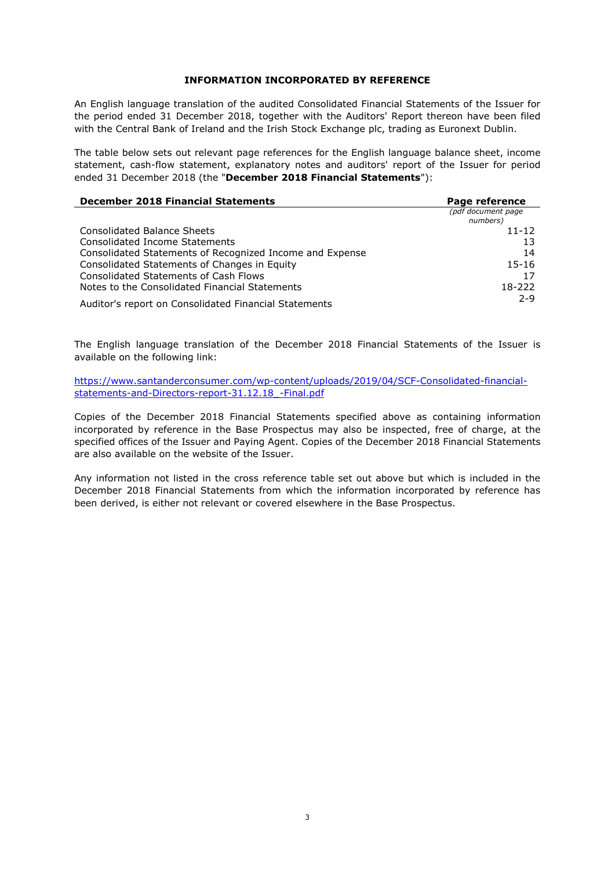#### INFORMATION INCORPORATED BY REFERENCE

An English language translation of the audited Consolidated Financial Statements of the Issuer for the period ended 31 December 2018, together with the Auditors' Report thereon have been filed with the Central Bank of Ireland and the Irish Stock Exchange plc, trading as Euronext Dublin.

The table below sets out relevant page references for the English language balance sheet, income statement, cash-flow statement, explanatory notes and auditors' report of the Issuer for period ended 31 December 2018 (the "December 2018 Financial Statements"):

| <b>December 2018 Financial Statements</b>                | Page reference                 |  |
|----------------------------------------------------------|--------------------------------|--|
|                                                          | (pdf document page<br>numbers) |  |
| Consolidated Balance Sheets                              | $11 - 12$                      |  |
| Consolidated Income Statements                           | 13                             |  |
| Consolidated Statements of Recognized Income and Expense | 14                             |  |
| Consolidated Statements of Changes in Equity             | $15 - 16$                      |  |
| Consolidated Statements of Cash Flows                    | 17                             |  |
| Notes to the Consolidated Financial Statements           | 18-222                         |  |
| Auditor's report on Consolidated Financial Statements    | $2 - 9$                        |  |

The English language translation of the December 2018 Financial Statements of the Issuer is available on the following link:

https://www.santanderconsumer.com/wp-content/uploads/2019/04/SCF-Consolidated-financialstatements-and-Directors-report-31.12.18\_-Final.pdf

Copies of the December 2018 Financial Statements specified above as containing information incorporated by reference in the Base Prospectus may also be inspected, free of charge, at the specified offices of the Issuer and Paying Agent. Copies of the December 2018 Financial Statements are also available on the website of the Issuer.

Any information not listed in the cross reference table set out above but which is included in the December 2018 Financial Statements from which the information incorporated by reference has been derived, is either not relevant or covered elsewhere in the Base Prospectus.